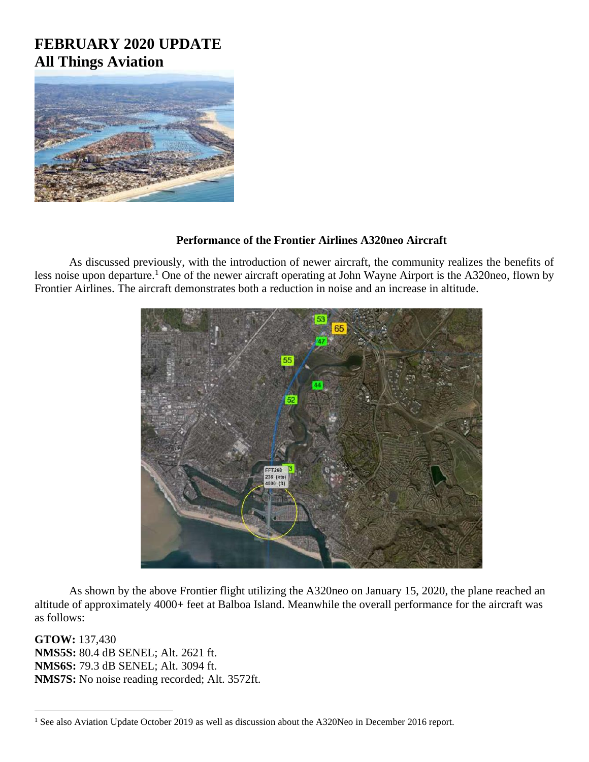# **FEBRUARY 2020 UPDATE All Things Aviation**



### **Performance of the Frontier Airlines A320neo Aircraft**

As discussed previously, with the introduction of newer aircraft, the community realizes the benefits of less noise upon departure.<sup>1</sup> One of the newer aircraft operating at John Wayne Airport is the A320neo, flown by Frontier Airlines. The aircraft demonstrates both a reduction in noise and an increase in altitude.



As shown by the above Frontier flight utilizing the A320neo on January 15, 2020, the plane reached an altitude of approximately 4000+ feet at Balboa Island. Meanwhile the overall performance for the aircraft was as follows:

**GTOW:** 137,430 **NMS5S:** 80.4 dB SENEL; Alt. 2621 ft. **NMS6S:** 79.3 dB SENEL; Alt. 3094 ft. **NMS7S:** No noise reading recorded; Alt. 3572ft.

<sup>&</sup>lt;sup>1</sup> See also Aviation Update October 2019 as well as discussion about the A320Neo in December 2016 report.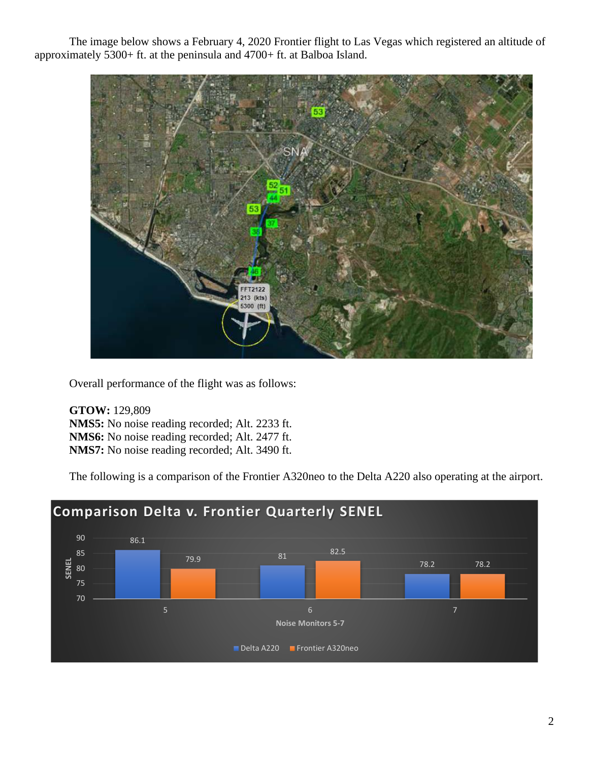The image below shows a February 4, 2020 Frontier flight to Las Vegas which registered an altitude of approximately 5300+ ft. at the peninsula and 4700+ ft. at Balboa Island.



Overall performance of the flight was as follows:

**GTOW:** 129,809 **NMS5:** No noise reading recorded; Alt. 2233 ft. **NMS6:** No noise reading recorded; Alt. 2477 ft. **NMS7:** No noise reading recorded; Alt. 3490 ft.

The following is a comparison of the Frontier A320neo to the Delta A220 also operating at the airport.

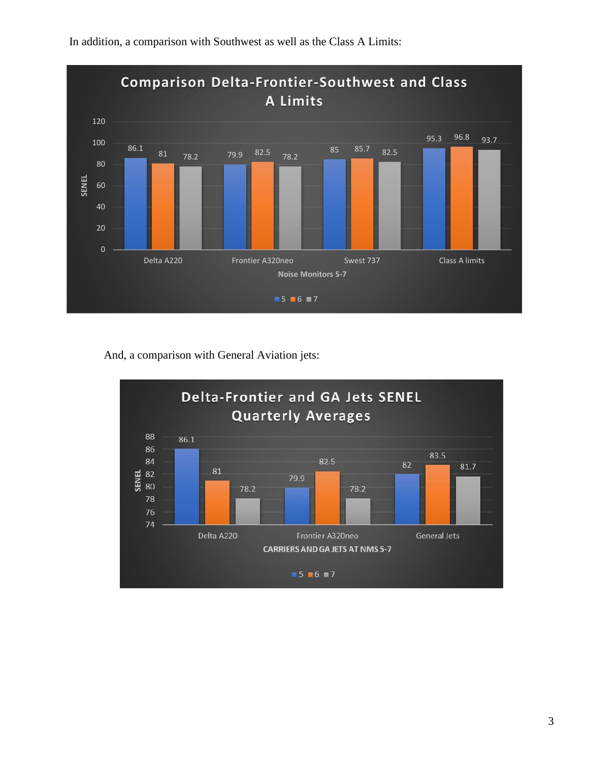

In addition, a comparison with Southwest as well as the Class A Limits:

And, a comparison with General Aviation jets:

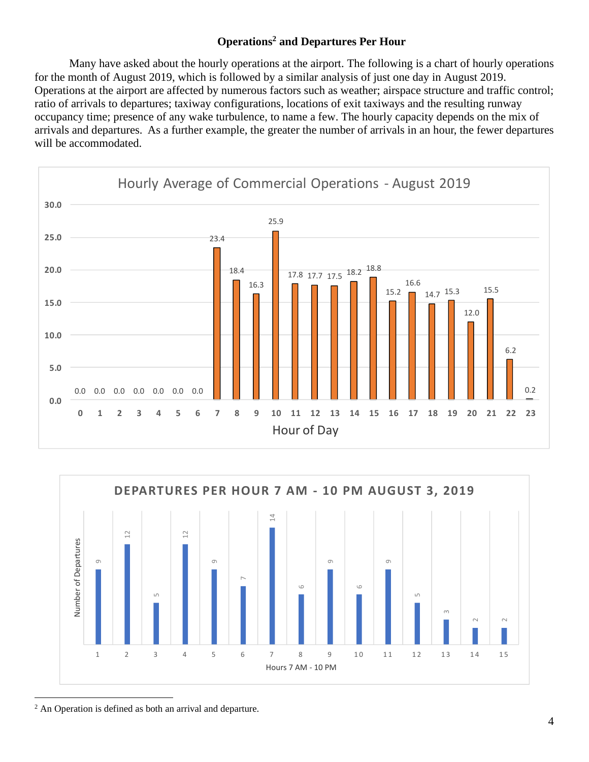## **Operations<sup>2</sup> and Departures Per Hour**

Many have asked about the hourly operations at the airport. The following is a chart of hourly operations for the month of August 2019, which is followed by a similar analysis of just one day in August 2019. Operations at the airport are affected by numerous factors such as weather; airspace structure and traffic control; ratio of arrivals to departures; taxiway configurations, locations of exit taxiways and the resulting runway occupancy time; presence of any wake turbulence, to name a few. The hourly capacity depends on the mix of arrivals and departures. As a further example, the greater the number of arrivals in an hour, the fewer departures will be accommodated.

![](_page_3_Figure_2.jpeg)

![](_page_3_Figure_3.jpeg)

<sup>2</sup> An Operation is defined as both an arrival and departure.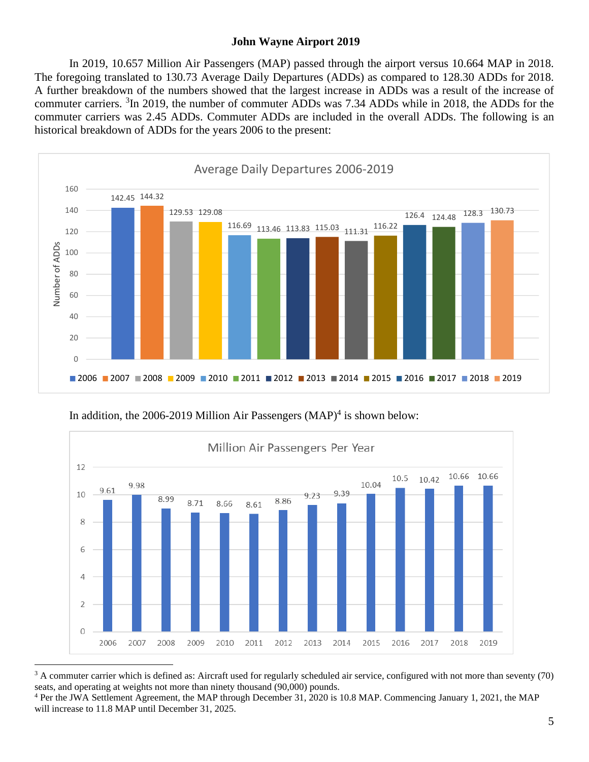#### **John Wayne Airport 2019**

In 2019, 10.657 Million Air Passengers (MAP) passed through the airport versus 10.664 MAP in 2018. The foregoing translated to 130.73 Average Daily Departures (ADDs) as compared to 128.30 ADDs for 2018. A further breakdown of the numbers showed that the largest increase in ADDs was a result of the increase of commuter carriers. <sup>3</sup>In 2019, the number of commuter ADDs was 7.34 ADDs while in 2018, the ADDs for the commuter carriers was 2.45 ADDs. Commuter ADDs are included in the overall ADDs. The following is an historical breakdown of ADDs for the years 2006 to the present:

![](_page_4_Figure_2.jpeg)

In addition, the 2006-2019 Million Air Passengers  $(MAP)^4$  is shown below:

![](_page_4_Figure_4.jpeg)

<sup>&</sup>lt;sup>3</sup> A commuter carrier which is defined as: Aircraft used for regularly scheduled air service, configured with not more than seventy (70) seats, and operating at weights not more than ninety thousand (90,000) pounds.

<sup>4</sup> Per the JWA Settlement Agreement, the MAP through December 31, 2020 is 10.8 MAP. Commencing January 1, 2021, the MAP will increase to 11.8 MAP until December 31, 2025.